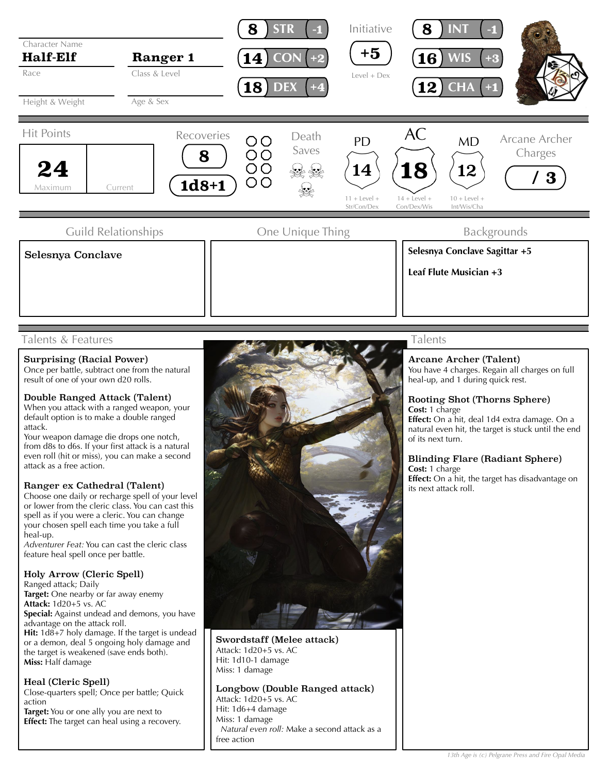

# Talents & Features

#### Surprising (Racial Power)

Once per battle, subtract one from the natural result of one of your own d20 rolls.

### Double Ranged Attack (Talent)

When you attack with a ranged weapon, your default option is to make a double ranged attack.

Your weapon damage die drops one notch, from d8s to d6s. If your first attack is a natural even roll (hit or miss), you can make a second attack as a free action.

#### Ranger ex Cathedral (Talent)

Choose one daily or recharge spell of your level or lower from the cleric class. You can cast this spell as if you were a cleric. You can change your chosen spell each time you take a full heal-up.

*Adventurer Feat:* You can cast the cleric class feature heal spell once per battle.

#### Holy Arrow (Cleric Spell)

Ranged attack; Daily Target: One nearby or far away enemy **Attack:** 1d20+5 vs. AC **Special:** Against undead and demons, you have advantage on the attack roll. **Hit:** 1d8+7 holy damage. If the target is undead or a demon, deal 5 ongoing holy damage and the target is weakened (save ends both). **Miss:** Half damage

## Heal (Cleric Spell)

Close-quarters spell; Once per battle; Quick action

**Target:** You or one ally you are next to **Effect:** The target can heal using a recovery.



Swordstaff (Melee attack) Attack: 1d20+5 vs. AC Hit: 1d10-1 damage Miss: 1 damage

## Longbow (Double Ranged attack)

Attack: 1d20+5 vs. AC Hit: 1d6+4 damage Miss: 1 damage *Natural even roll:* Make a second attack as a free action

# Talents

# Arcane Archer (Talent)

You have 4 charges. Regain all charges on full heal-up, and 1 during quick rest.

# Rooting Shot (Thorns Sphere) **Cost:** 1 charge

**Effect:** On a hit, deal 1d4 extra damage. On a natural even hit, the target is stuck until the end of its next turn.

#### Blinding Flare (Radiant Sphere) **Cost:** 1 charge

**Effect:** On a hit, the target has disadvantage on its next attack roll.